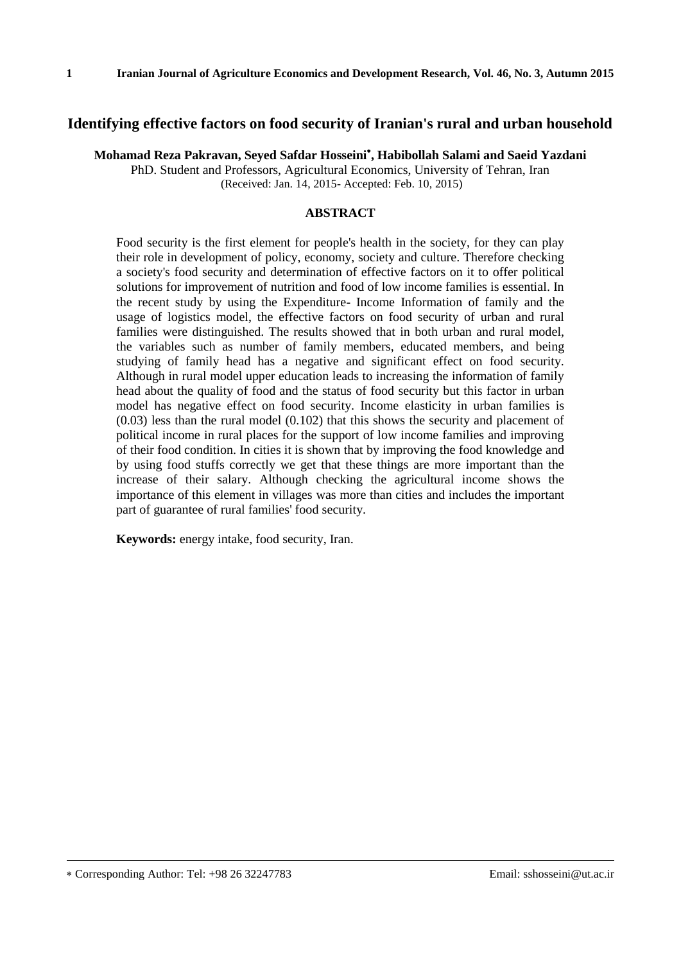#### **Identifying effective factors on food security of Iranian's rural and urban household**

**Mohamad Reza Pakravan, Seyed Safdar Hosseini , Habibollah Salami and Saeid Yazdani** PhD. Student and Professors, Agricultural Economics, University of Tehran, Iran (Received: Jan. 14, 2015- Accepted: Feb. 10, 2015)

#### **ABSTRACT**

Food security is the first element for people's health in the society, for they can play their role in development of policy, economy, society and culture. Therefore checking a society's food security and determination of effective factors on it to offer political solutions for improvement of nutrition and food of low income families is essential. In the recent study by using the Expenditure- Income Information of family and the usage of logistics model, the effective factors on food security of urban and rural families were distinguished. The results showed that in both urban and rural model, the variables such as number of family members, educated members, and being studying of family head has a negative and significant effect on food security. Although in rural model upper education leads to increasing the information of family head about the quality of food and the status of food security but this factor in urban model has negative effect on food security. Income elasticity in urban families is (0.03) less than the rural model (0.102) that this shows the security and placement of political income in rural places for the support of low income families and improving of their food condition. In cities it is shown that by improving the food knowledge and by using food stuffs correctly we get that these things are more important than the increase of their salary. Although checking the agricultural income shows the importance of this element in villages was more than cities and includes the important part of guarantee of rural families' food security.

**Keywords:** energy intake, food security, Iran.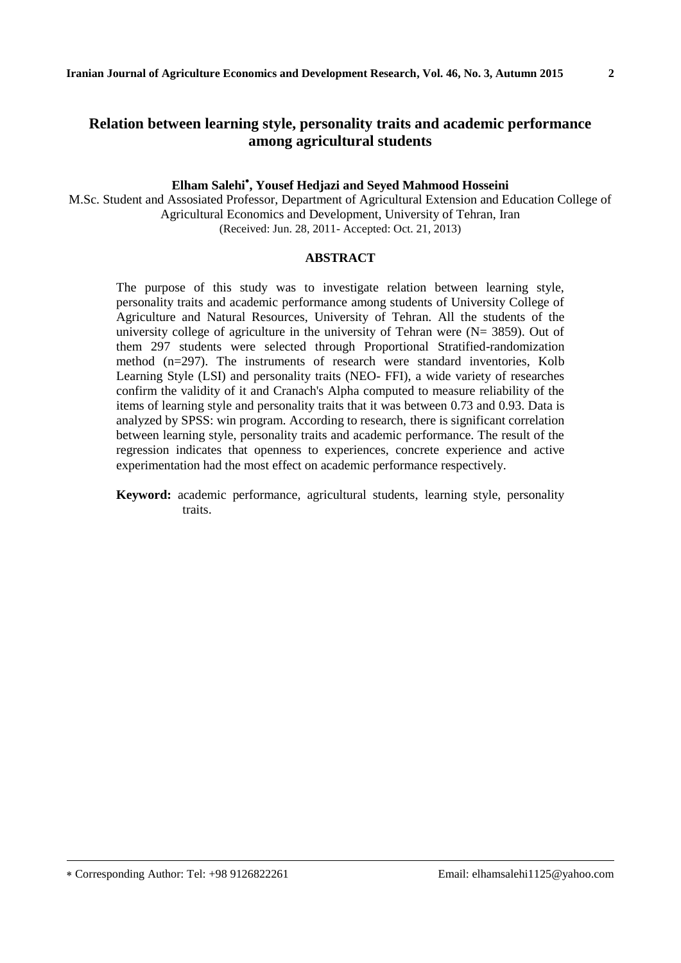# **Relation between learning style, personality traits and academic performance among agricultural students**

### **Elham Salehi , Yousef Hedjazi and Seyed Mahmood Hosseini**

M.Sc. Student and Assosiated Professor, Department of Agricultural Extension and Education College of Agricultural Economics and Development, University of Tehran, Iran (Received: Jun. 28, 2011- Accepted: Oct. 21, 2013)

#### **ABSTRACT**

The purpose of this study was to investigate relation between learning style, personality traits and academic performance among students of University College of Agriculture and Natural Resources, University of Tehran. All the students of the university college of agriculture in the university of Tehran were  $(N= 3859)$ . Out of them 297 students were selected through Proportional Stratified-randomization method (n=297). The instruments of research were standard inventories, Kolb Learning Style (LSI) and personality traits (NEO- FFI), a wide variety of researches confirm the validity of it and Cranach's Alpha computed to measure reliability of the items of learning style and personality traits that it was between 0.73 and 0.93. Data is analyzed by SPSS: win program. According to research, there is significant correlation between learning style, personality traits and academic performance. The result of the regression indicates that openness to experiences, concrete experience and active experimentation had the most effect on academic performance respectively.

**Keyword:** academic performance, agricultural students, learning style, personality traits.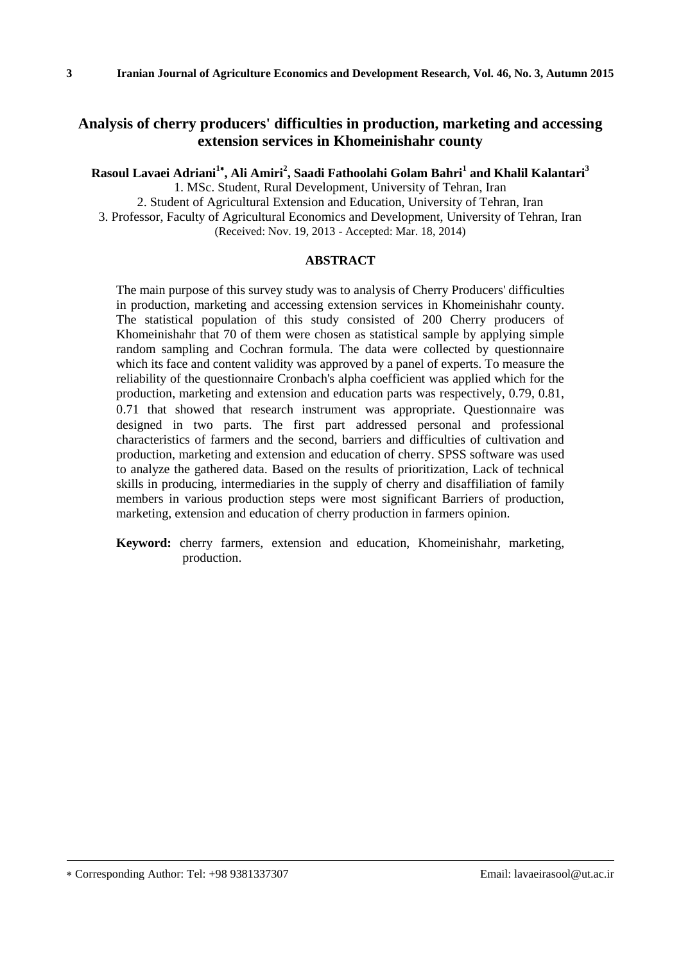## **Analysis of cherry producers' difficulties in production, marketing and accessing extension services in Khomeinishahr county**

**Rasoul Lavaei Adriani<sup>1</sup> , Ali Amiri<sup>2</sup> , Saadi Fathoolahi Golam Bahri<sup>1</sup> and Khalil Kalantari<sup>3</sup>**

1. MSc. Student, Rural Development, University of Tehran, Iran

2. Student of Agricultural Extension and Education, University of Tehran, Iran 3. Professor, Faculty of Agricultural Economics and Development, University of Tehran, Iran (Received: Nov. 19, 2013 - Accepted: Mar. 18, 2014)

#### **ABSTRACT**

The main purpose of this survey study was to analysis of Cherry Producers' difficulties in production, marketing and accessing extension services in Khomeinishahr county. The statistical population of this study consisted of 200 Cherry producers of Khomeinishahr that 70 of them were chosen as statistical sample by applying simple random sampling and Cochran formula. The data were collected by questionnaire which its face and content validity was approved by a panel of experts. To measure the reliability of the questionnaire Cronbach's alpha coefficient was applied which for the production, marketing and extension and education parts was respectively, 0.79, 0.81, 0.71 that showed that research instrument was appropriate. Questionnaire was designed in two parts. The first part addressed personal and professional characteristics of farmers and the second, barriers and difficulties of cultivation and production, marketing and extension and education of cherry. SPSS software was used to analyze the gathered data. Based on the results of prioritization, Lack of technical skills in producing, intermediaries in the supply of cherry and disaffiliation of family members in various production steps were most significant Barriers of production, marketing, extension and education of cherry production in farmers opinion.

**Keyword:** cherry farmers, extension and education, Khomeinishahr, marketing, production.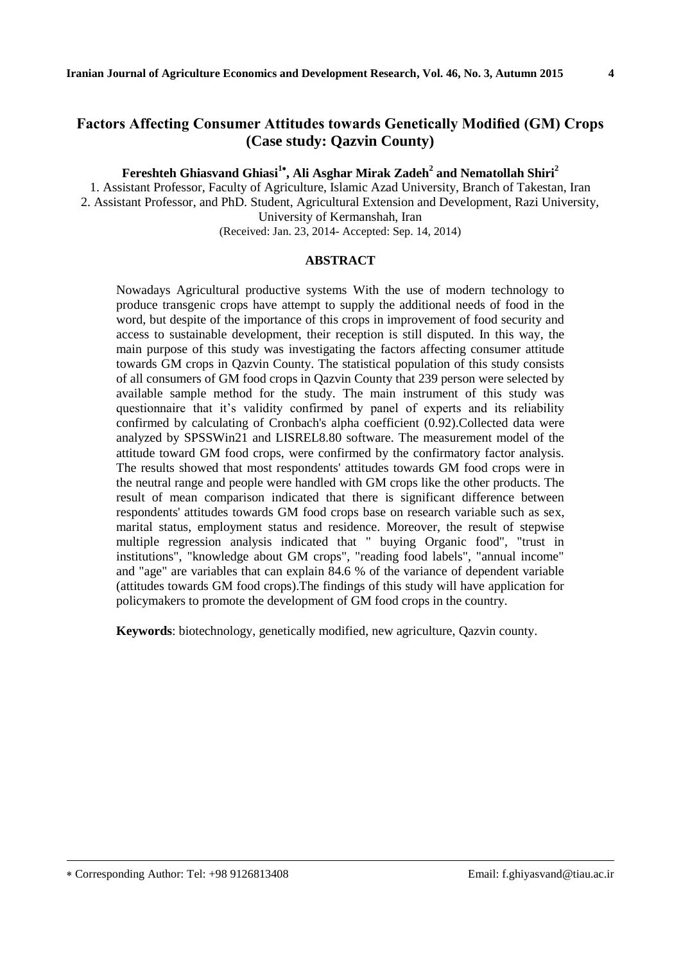# **Factors Affecting Consumer Attitudes towards Genetically Modified (GM) Crops (Case study: Qazvin County)**

**Fereshteh Ghiasvand Ghiasi<sup>1</sup> , Ali Asghar Mirak Zadeh<sup>2</sup> and Nematollah Shiri<sup>2</sup>**

1. Assistant Professor, Faculty of Agriculture, Islamic Azad University, Branch of Takestan, Iran 2. Assistant Professor, and PhD. Student, Agricultural Extension and Development, Razi University, University of Kermanshah, Iran

(Received: Jan. 23, 2014- Accepted: Sep. 14, 2014)

#### **ABSTRACT**

Nowadays Agricultural productive systems With the use of modern technology to produce transgenic crops have attempt to supply the additional needs of food in the word, but despite of the importance of this crops in improvement of food security and access to sustainable development, their reception is still disputed. In this way, the main purpose of this study was investigating the factors affecting consumer attitude towards GM crops in Qazvin County. The statistical population of this study consists of all consumers of GM food crops in Qazvin County that 239 person were selected by available sample method for the study. The main instrument of this study was questionnaire that it's validity confirmed by panel of experts and its reliability confirmed by calculating of Cronbach's alpha coefficient (0.92).Collected data were analyzed by SPSSWin21 and LISREL8.80 software. The measurement model of the attitude toward GM food crops, were confirmed by the confirmatory factor analysis. The results showed that most respondents' attitudes towards GM food crops were in the neutral range and people were handled with GM crops like the other products. The result of mean comparison indicated that there is significant difference between respondents' attitudes towards GM food crops base on research variable such as sex, marital status, employment status and residence. Moreover, the result of stepwise multiple regression analysis indicated that " buying Organic food", "trust in institutions", "knowledge about GM crops", "reading food labels", "annual income" and "age" are variables that can explain 84.6 % of the variance of dependent variable (attitudes towards GM food crops).The findings of this study will have application for policymakers to promote the development of GM food crops in the country.

**Keywords**: biotechnology, genetically modified, new agriculture, Qazvin county.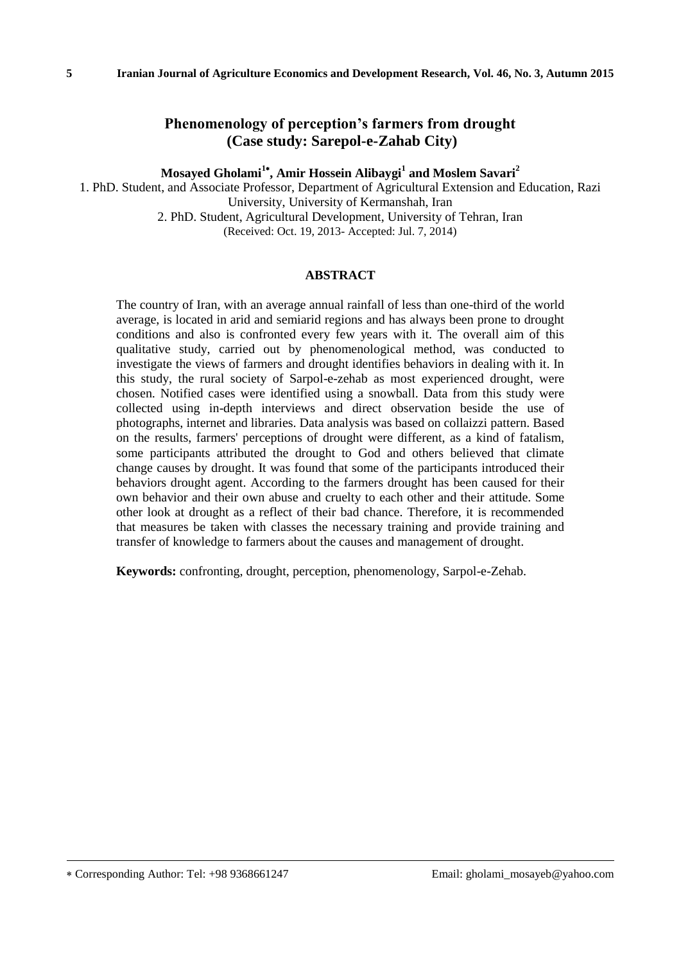## **Phenomenology of perception's farmers from drought (Case study: Sarepol-e-Zahab City)**

**Mosayed Gholami<sup>1</sup> , Amir Hossein Alibaygi<sup>1</sup> and Moslem Savari<sup>2</sup>**

1. PhD. Student, and Associate Professor, Department of Agricultural Extension and Education, Razi University, University of Kermanshah, Iran 2. PhD. Student, Agricultural Development, University of Tehran, Iran (Received: Oct. 19, 2013- Accepted: Jul. 7, 2014)

### **ABSTRACT**

The country of Iran, with an average annual rainfall of less than one-third of the world average, is located in arid and semiarid regions and has always been prone to drought conditions and also is confronted every few years with it. The overall aim of this qualitative study, carried out by phenomenological method, was conducted to investigate the views of farmers and drought identifies behaviors in dealing with it. In this study, the rural society of Sarpol-e-zehab as most experienced drought, were chosen. Notified cases were identified using a snowball. Data from this study were collected using in-depth interviews and direct observation beside the use of photographs, internet and libraries. Data analysis was based on collaizzi pattern. Based on the results, farmers' perceptions of drought were different, as a kind of fatalism, some participants attributed the drought to God and others believed that climate change causes by drought. It was found that some of the participants introduced their behaviors drought agent. According to the farmers drought has been caused for their own behavior and their own abuse and cruelty to each other and their attitude. Some other look at drought as a reflect of their bad chance. Therefore, it is recommended that measures be taken with classes the necessary training and provide training and transfer of knowledge to farmers about the causes and management of drought.

**Keywords:** confronting, drought, perception, phenomenology, Sarpol-e-Zehab.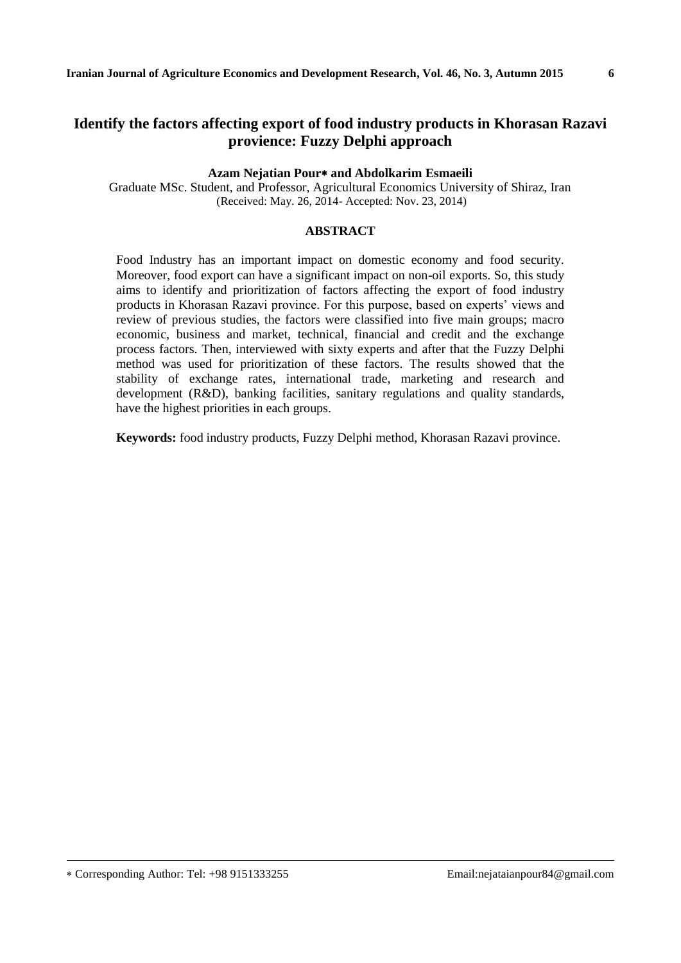# **Identify the factors affecting export of food industry products in Khorasan Razavi provience: Fuzzy Delphi approach**

#### **Azam Nejatian Pour and Abdolkarim Esmaeili**

Graduate MSc. Student, and Professor, Agricultural Economics University of Shiraz, Iran (Received: May. 26, 2014- Accepted: Nov. 23, 2014)

#### **ABSTRACT**

Food Industry has an important impact on domestic economy and food security. Moreover, food export can have a significant impact on non-oil exports. So, this study aims to identify and prioritization of factors affecting the export of food industry products in Khorasan Razavi province. For this purpose, based on experts' views and review of previous studies, the factors were classified into five main groups; macro economic, business and market, technical, financial and credit and the exchange process factors. Then, interviewed with sixty experts and after that the Fuzzy Delphi method was used for prioritization of these factors. The results showed that the stability of exchange rates, international trade, marketing and research and development (R&D), banking facilities, sanitary regulations and quality standards, have the highest priorities in each groups.

**Keywords:** food industry products, Fuzzy Delphi method, Khorasan Razavi province.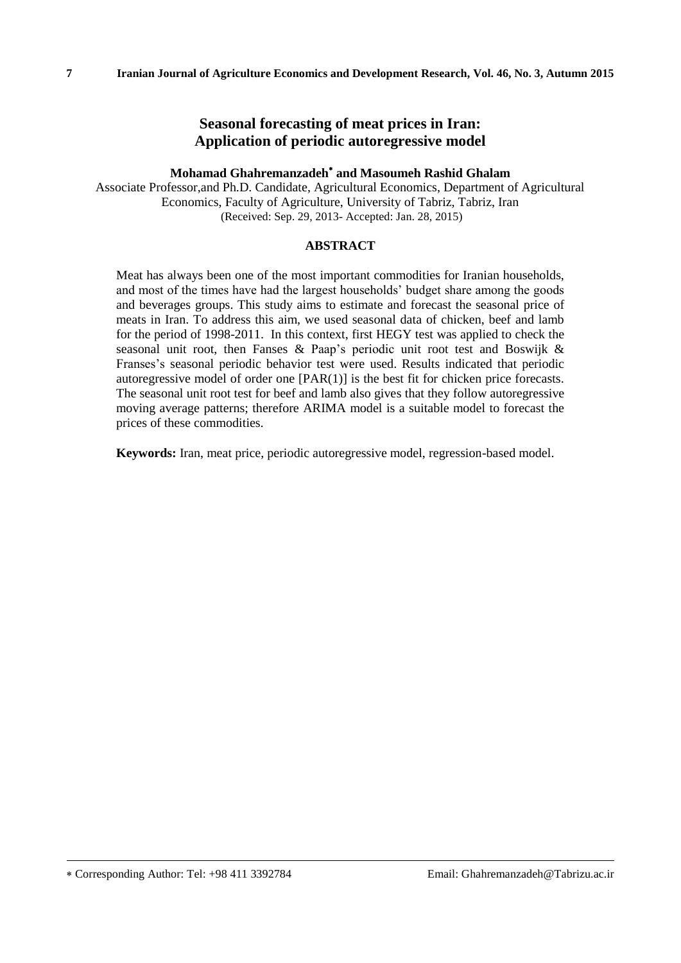## **Seasonal forecasting of meat prices in Iran: Application of periodic autoregressive model**

### **Mohamad Ghahremanzadeh and Masoumeh Rashid Ghalam**

Associate Professor,and Ph.D. Candidate, Agricultural Economics, Department of Agricultural Economics, Faculty of Agriculture, University of Tabriz, Tabriz, Iran (Received: Sep. 29, 2013- Accepted: Jan. 28, 2015)

#### **ABSTRACT**

Meat has always been one of the most important commodities for Iranian households, and most of the times have had the largest households' budget share among the goods and beverages groups. This study aims to estimate and forecast the seasonal price of meats in Iran. To address this aim, we used seasonal data of chicken, beef and lamb for the period of 1998-2011. In this context, first HEGY test was applied to check the seasonal unit root, then Fanses & Paap's periodic unit root test and Boswijk & Franses's seasonal periodic behavior test were used. Results indicated that periodic autoregressive model of order one [PAR(1)] is the best fit for chicken price forecasts. The seasonal unit root test for beef and lamb also gives that they follow autoregressive moving average patterns; therefore ARIMA model is a suitable model to forecast the prices of these commodities.

**Keywords:** Iran, meat price, periodic autoregressive model, regression-based model.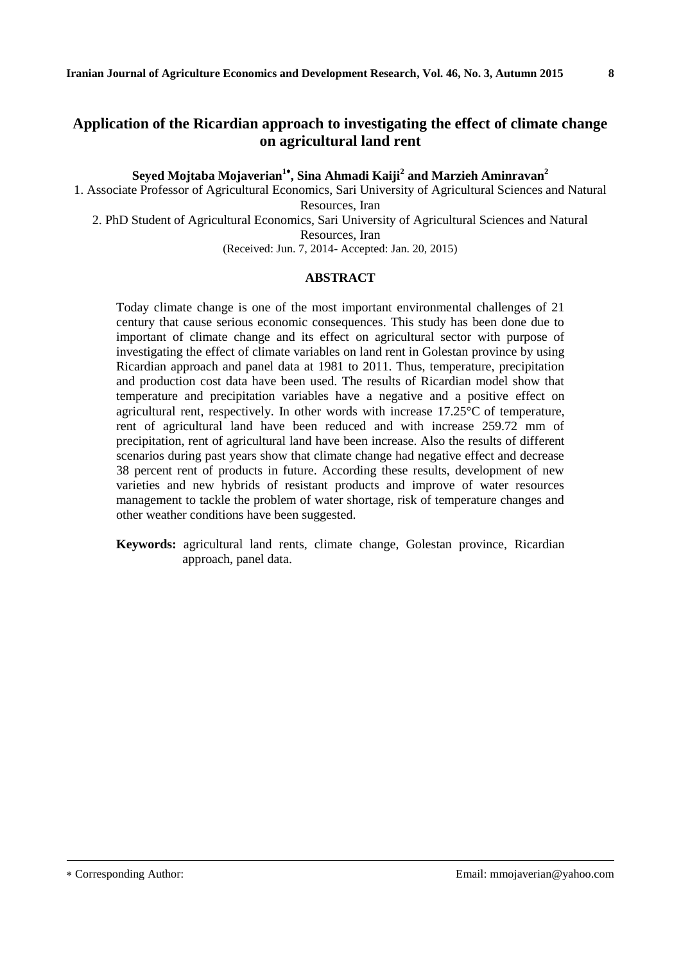## **Application of the Ricardian approach to investigating the effect of climate change on agricultural land rent**

**Seyed Mojtaba Mojaverian<sup>1</sup> , Sina Ahmadi Kaiji<sup>2</sup> and Marzieh Aminravan<sup>2</sup>**

1. Associate Professor of Agricultural Economics, Sari University of Agricultural Sciences and Natural Resources, Iran

2. PhD Student of Agricultural Economics, Sari University of Agricultural Sciences and Natural Resources, Iran

(Received: Jun. 7, 2014- Accepted: Jan. 20, 2015)

#### **ABSTRACT**

Today climate change is one of the most important environmental challenges of 21 century that cause serious economic consequences. This study has been done due to important of climate change and its effect on agricultural sector with purpose of investigating the effect of climate variables on land rent in Golestan province by using Ricardian approach and panel data at 1981 to 2011. Thus, temperature, precipitation and production cost data have been used. The results of Ricardian model show that temperature and precipitation variables have a negative and a positive effect on agricultural rent, respectively. In other words with increase 17.25°C of temperature, rent of agricultural land have been reduced and with increase 259.72 mm of precipitation, rent of agricultural land have been increase. Also the results of different scenarios during past years show that climate change had negative effect and decrease 38 percent rent of products in future. According these results, development of new varieties and new hybrids of resistant products and improve of water resources management to tackle the problem of water shortage, risk of temperature changes and other weather conditions have been suggested.

**Keywords:** agricultural land rents, climate change, Golestan province, Ricardian approach, panel data.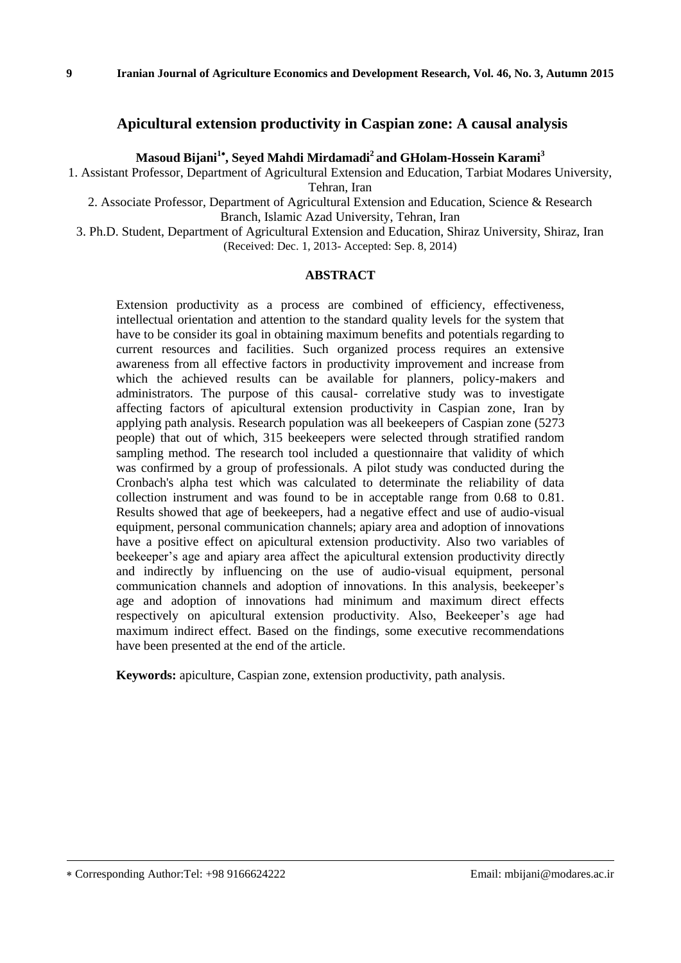## **Apicultural extension productivity in Caspian zone: A causal analysis**

**Masoud Bijani<sup>1</sup> , Seyed Mahdi Mirdamadi<sup>2</sup>and GHolam-Hossein Karami<sup>3</sup>**

1. Assistant Professor, Department of Agricultural Extension and Education, Tarbiat Modares University, Tehran, Iran

2. Associate Professor, Department of Agricultural Extension and Education, Science & Research Branch, Islamic Azad University, Tehran, Iran

3. Ph.D. Student, Department of Agricultural Extension and Education, Shiraz University, Shiraz, Iran (Received: Dec. 1, 2013- Accepted: Sep. 8, 2014)

#### **ABSTRACT**

Extension productivity as a process are combined of efficiency, effectiveness, intellectual orientation and attention to the standard quality levels for the system that have to be consider its goal in obtaining maximum benefits and potentials regarding to current resources and facilities. Such organized process requires an extensive awareness from all effective factors in productivity improvement and increase from which the achieved results can be available for planners, policy-makers and administrators. The purpose of this causal- correlative study was to investigate affecting factors of apicultural extension productivity in Caspian zone, Iran by applying path analysis. Research population was all beekeepers of Caspian zone (5273 people) that out of which, 315 beekeepers were selected through stratified random sampling method. The research tool included a questionnaire that validity of which was confirmed by a group of professionals. A pilot study was conducted during the Cronbach's alpha test which was calculated to determinate the reliability of data collection instrument and was found to be in acceptable range from 0.68 to 0.81. Results showed that age of beekeepers, had a negative effect and use of audio-visual equipment, personal communication channels; apiary area and adoption of innovations have a positive effect on apicultural extension productivity. Also two variables of beekeeper's age and apiary area affect the apicultural extension productivity directly and indirectly by influencing on the use of audio-visual equipment, personal communication channels and adoption of innovations. In this analysis, beekeeper's age and adoption of innovations had minimum and maximum direct effects respectively on apicultural extension productivity. Also, Beekeeper's age had maximum indirect effect. Based on the findings, some executive recommendations have been presented at the end of the article.

**Keywords:** apiculture, Caspian zone, extension productivity, path analysis.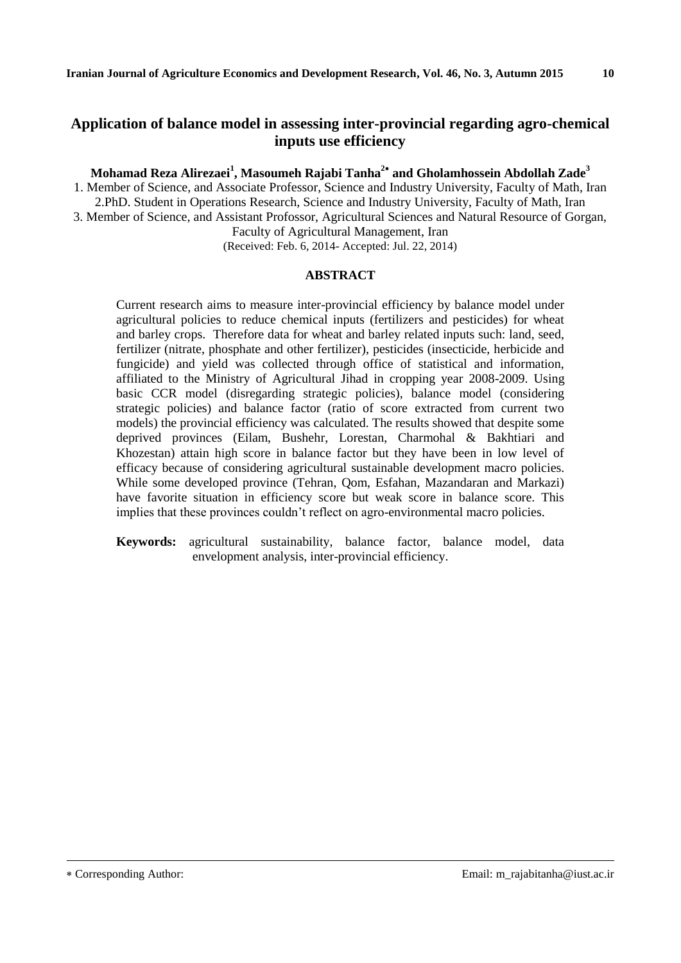# **Application of balance model in assessing inter-provincial regarding agro-chemical inputs use efficiency**

**Mohamad Reza Alirezaei<sup>1</sup> , Masoumeh Rajabi Tanha<sup>2</sup> and Gholamhossein Abdollah Zade<sup>3</sup>**

1. Member of Science, and Associate Professor, Science and Industry University, Faculty of Math, Iran 2.PhD. Student in Operations Research, Science and Industry University, Faculty of Math, Iran 3. Member of Science, and Assistant Profossor, Agricultural Sciences and Natural Resource of Gorgan, Faculty of Agricultural Management, Iran

(Received: Feb. 6, 2014- Accepted: Jul. 22, 2014)

#### **ABSTRACT**

Current research aims to measure inter-provincial efficiency by balance model under agricultural policies to reduce chemical inputs (fertilizers and pesticides) for wheat and barley crops. Therefore data for wheat and barley related inputs such: land, seed, fertilizer (nitrate, phosphate and other fertilizer), pesticides (insecticide, herbicide and fungicide) and yield was collected through office of statistical and information, affiliated to the Ministry of Agricultural Jihad in cropping year 2008-2009. Using basic CCR model (disregarding strategic policies), balance model (considering strategic policies) and balance factor (ratio of score extracted from current two models) the provincial efficiency was calculated. The results showed that despite some deprived provinces (Eilam, Bushehr, Lorestan, Charmohal & Bakhtiari and Khozestan) attain high score in balance factor but they have been in low level of efficacy because of considering agricultural sustainable development macro policies. While some developed province (Tehran, Qom, Esfahan, Mazandaran and Markazi) have favorite situation in efficiency score but weak score in balance score. This implies that these provinces couldn't reflect on agro-environmental macro policies.

**Keywords:** agricultural sustainability, balance factor, balance model, data envelopment analysis, inter-provincial efficiency.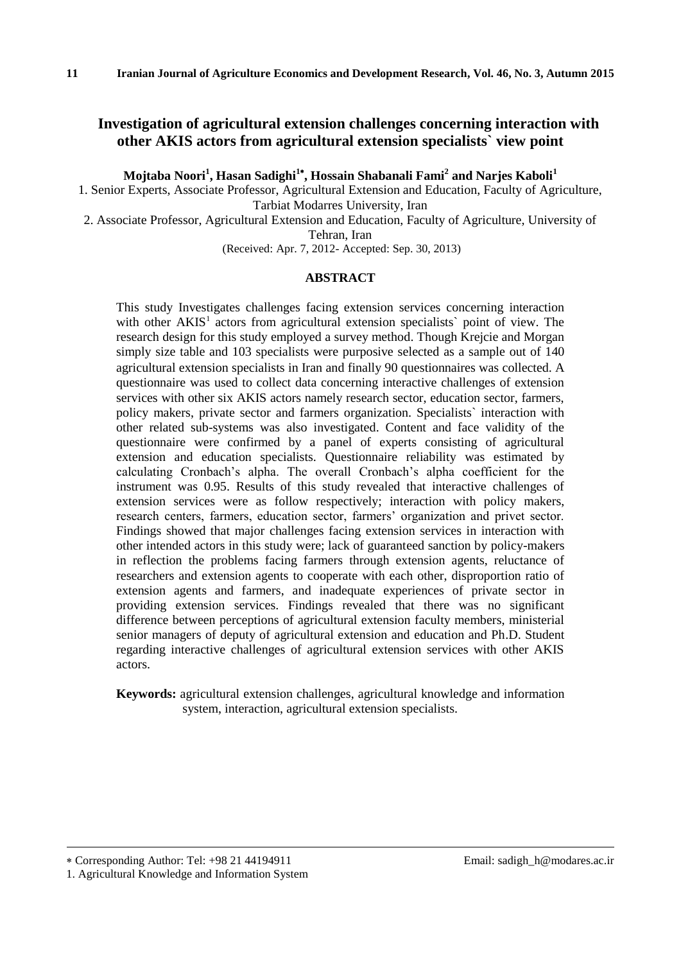# **Investigation of agricultural extension challenges concerning interaction with other AKIS actors from agricultural extension specialists` view point**

**Mojtaba Noori<sup>1</sup> , Hasan Sadighi<sup>1</sup> , Hossain Shabanali Fami<sup>2</sup> and Narjes Kaboli<sup>1</sup>**

1. Senior Experts, Associate Professor, Agricultural Extension and Education, Faculty of Agriculture, Tarbiat Modarres University, Iran

2. Associate Professor, Agricultural Extension and Education, Faculty of Agriculture, University of Tehran, Iran

(Received: Apr. 7, 2012- Accepted: Sep. 30, 2013)

#### **ABSTRACT**

This study Investigates challenges facing extension services concerning interaction with other  $AKIS<sup>1</sup>$  actors from agricultural extension specialists' point of view. The research design for this study employed a survey method. Though Krejcie and Morgan simply size table and 103 specialists were purposive selected as a sample out of 140 agricultural extension specialists in Iran and finally 90 questionnaires was collected. A questionnaire was used to collect data concerning interactive challenges of extension services with other six AKIS actors namely research sector, education sector, farmers, policy makers, private sector and farmers organization. Specialists` interaction with other related sub-systems was also investigated. Content and face validity of the questionnaire were confirmed by a panel of experts consisting of agricultural extension and education specialists. Questionnaire reliability was estimated by calculating Cronbach's alpha. The overall Cronbach's alpha coefficient for the instrument was 0.95. Results of this study revealed that interactive challenges of extension services were as follow respectively; interaction with policy makers, research centers, farmers, education sector, farmers' organization and privet sector. Findings showed that major challenges facing extension services in interaction with other intended actors in this study were; lack of guaranteed sanction by policy-makers in reflection the problems facing farmers through extension agents, reluctance of researchers and extension agents to cooperate with each other, disproportion ratio of extension agents and farmers, and inadequate experiences of private sector in providing extension services. Findings revealed that there was no significant difference between perceptions of agricultural extension faculty members, ministerial senior managers of deputy of agricultural extension and education and Ph.D. Student regarding interactive challenges of agricultural extension services with other AKIS actors.

**Keywords:** agricultural extension challenges, agricultural knowledge and information system, interaction, agricultural extension specialists.

Corresponding Author: Tel: +98 21 44194911 Email: sadigh\_h@modares.ac.ir

1

1. Agricultural Knowledge and Information System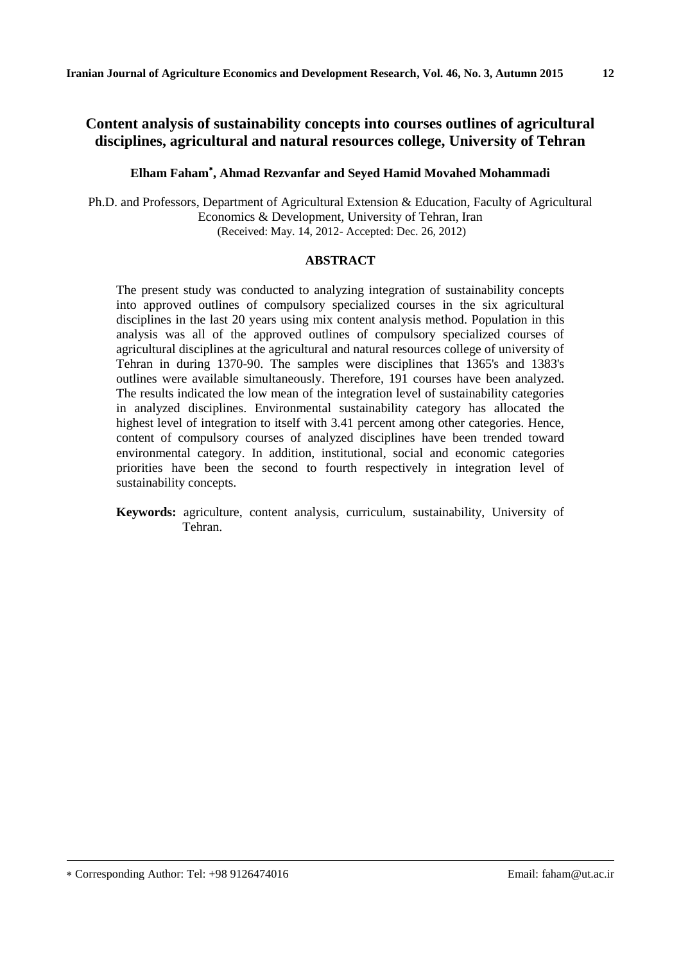# **Content analysis of sustainability concepts into courses outlines of agricultural disciplines, agricultural and natural resources college, University of Tehran**

### **Elham Faham , Ahmad Rezvanfar and Seyed Hamid Movahed Mohammadi**

Ph.D. and Professors, Department of Agricultural Extension & Education, Faculty of Agricultural Economics & Development, University of Tehran, Iran (Received: May. 14, 2012- Accepted: Dec. 26, 2012)

#### **ABSTRACT**

The present study was conducted to analyzing integration of sustainability concepts into approved outlines of compulsory specialized courses in the six agricultural disciplines in the last 20 years using mix content analysis method. Population in this analysis was all of the approved outlines of compulsory specialized courses of agricultural disciplines at the agricultural and natural resources college of university of Tehran in during 1370-90. The samples were disciplines that 1365's and 1383's outlines were available simultaneously. Therefore, 191 courses have been analyzed. The results indicated the low mean of the integration level of sustainability categories in analyzed disciplines. Environmental sustainability category has allocated the highest level of integration to itself with 3.41 percent among other categories. Hence, content of compulsory courses of analyzed disciplines have been trended toward environmental category. In addition, institutional, social and economic categories priorities have been the second to fourth respectively in integration level of sustainability concepts.

**Keywords:** agriculture, content analysis, curriculum, sustainability, University of Tehran.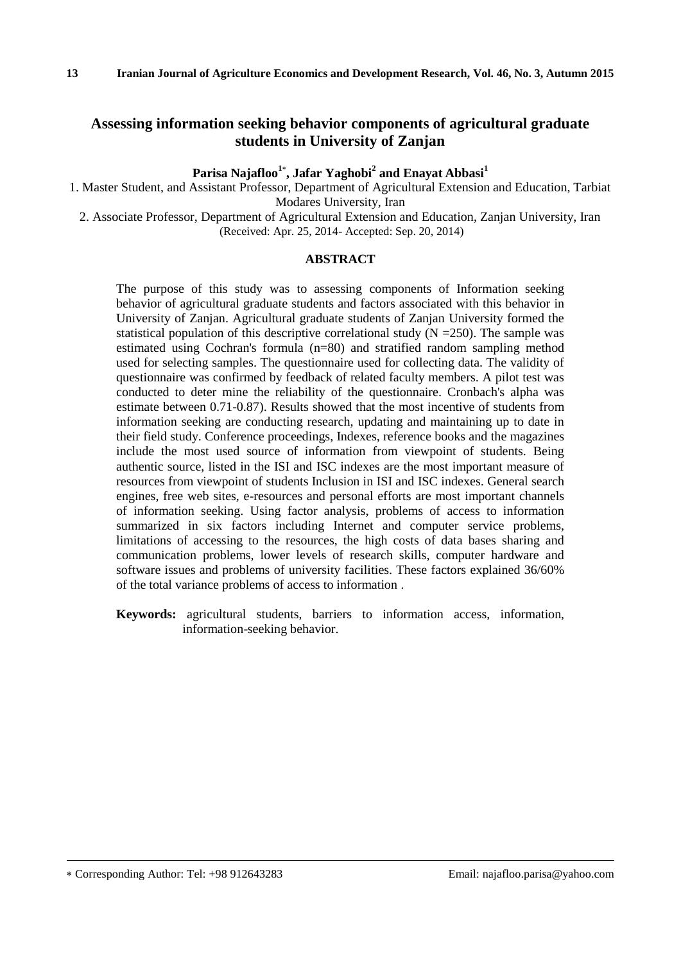# **Assessing information seeking behavior components of agricultural graduate students in University of Zanjan**

**Parisa Najafloo<sup>1</sup> , Jafar Yaghobi<sup>2</sup> and Enayat Abbasi<sup>1</sup>**

1. Master Student, and Assistant Professor, Department of Agricultural Extension and Education, Tarbiat Modares University, Iran

2. Associate Professor, Department of Agricultural Extension and Education, Zanjan University, Iran (Received: Apr. 25, 2014- Accepted: Sep. 20, 2014)

#### **ABSTRACT**

The purpose of this study was to assessing components of Information seeking behavior of agricultural graduate students and factors associated with this behavior in University of Zanjan. Agricultural graduate students of Zanjan University formed the statistical population of this descriptive correlational study  $(N = 250)$ . The sample was estimated using Cochran's formula (n=80) and stratified random sampling method used for selecting samples. The questionnaire used for collecting data. The validity of questionnaire was confirmed by feedback of related faculty members. A pilot test was conducted to deter mine the reliability of the questionnaire. Cronbach's alpha was estimate between 0.71-0.87). Results showed that the most incentive of students from information seeking are conducting research, updating and maintaining up to date in their field study. Conference proceedings, Indexes, reference books and the magazines include the most used source of information from viewpoint of students. Being authentic source, listed in the ISI and ISC indexes are the most important measure of resources from viewpoint of students Inclusion in ISI and ISC indexes. General search engines, free web sites, e-resources and personal efforts are most important channels of information seeking. Using factor analysis, problems of access to information summarized in six factors including Internet and computer service problems, limitations of accessing to the resources, the high costs of data bases sharing and communication problems, lower levels of research skills, computer hardware and software issues and problems of university facilities. These factors explained 36/60% of the total variance problems of access to information .

**Keywords:** agricultural students, barriers to information access, information, information-seeking behavior.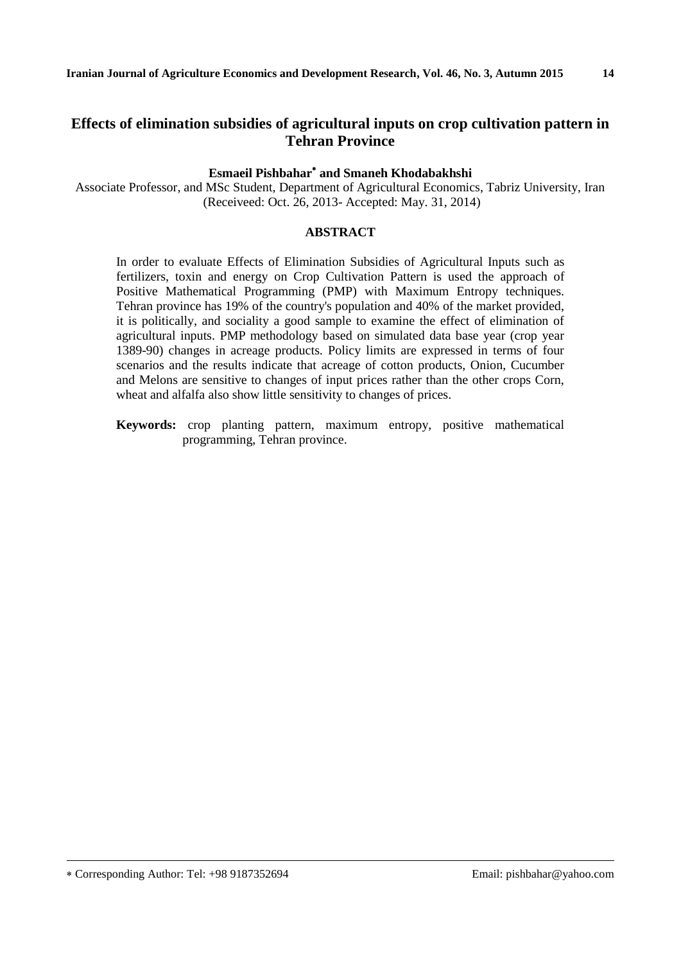# **Effects of elimination subsidies of agricultural inputs on crop cultivation pattern in Tehran Province**

## **Esmaeil Pishbahar and Smaneh Khodabakhshi**

Associate Professor, and MSc Student, Department of Agricultural Economics, Tabriz University, Iran (Receiveed: Oct. 26, 2013- Accepted: May. 31, 2014)

#### **ABSTRACT**

In order to evaluate Effects of Elimination Subsidies of Agricultural Inputs such as fertilizers, toxin and energy on Crop Cultivation Pattern is used the approach of Positive Mathematical Programming (PMP) with Maximum Entropy techniques. Tehran province has 19% of the country's population and 40% of the market provided, it is politically, and sociality a good sample to examine the effect of elimination of agricultural inputs. PMP methodology based on simulated data base year (crop year 1389-90) changes in acreage products. Policy limits are expressed in terms of four scenarios and the results indicate that acreage of cotton products, Onion, Cucumber and Melons are sensitive to changes of input prices rather than the other crops Corn, wheat and alfalfa also show little sensitivity to changes of prices.

**Keywords:** crop planting pattern, maximum entropy, positive mathematical programming, Tehran province.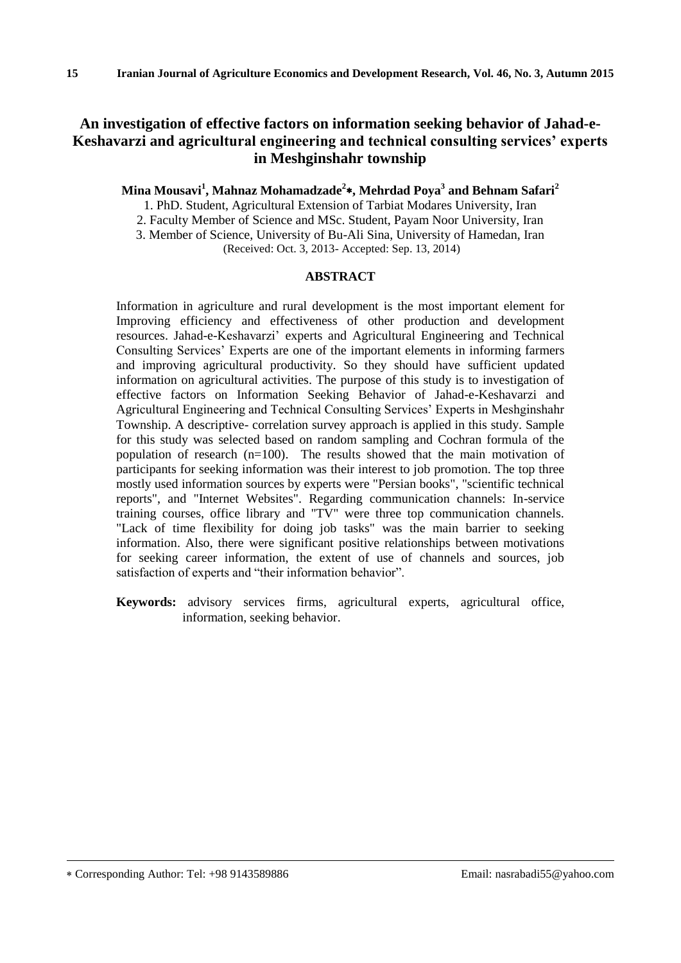# **An investigation of effective factors on information seeking behavior of Jahad-e-Keshavarzi and agricultural engineering and technical consulting services' experts in Meshginshahr township**

## **Mina Mousavi<sup>1</sup> , Mahnaz Mohamadzade<sup>2</sup> , Mehrdad Poya<sup>3</sup> and Behnam Safari<sup>2</sup>**

1. PhD. Student, Agricultural Extension of Tarbiat Modares University, Iran

2. Faculty Member of Science and MSc. Student, Payam Noor University, Iran

3. Member of Science, University of Bu-Ali Sina, University of Hamedan, Iran

(Received: Oct. 3, 2013- Accepted: Sep. 13, 2014)

#### **ABSTRACT**

Information in agriculture and rural development is the most important element for Improving efficiency and effectiveness of other production and development resources. Jahad-e-Keshavarzi' experts and Agricultural Engineering and Technical Consulting Services' Experts are one of the important elements in informing farmers and improving agricultural productivity. So they should have sufficient updated information on agricultural activities. The purpose of this study is to investigation of effective factors on Information Seeking Behavior of Jahad-e-Keshavarzi and Agricultural Engineering and Technical Consulting Services' Experts in Meshginshahr Township. A descriptive- correlation survey approach is applied in this study. Sample for this study was selected based on random sampling and Cochran formula of the population of research  $(n=100)$ . The results showed that the main motivation of participants for seeking information was their interest to job promotion. The top three mostly used information sources by experts were "Persian books", "scientific technical reports", and "Internet Websites". Regarding communication channels: In-service training courses, office library and "TV" were three top communication channels. "Lack of time flexibility for doing job tasks" was the main barrier to seeking information. Also, there were significant positive relationships between motivations for seeking career information, the extent of use of channels and sources, job satisfaction of experts and "their information behavior".

**Keywords:** advisory services firms, agricultural experts, agricultural office, information, seeking behavior.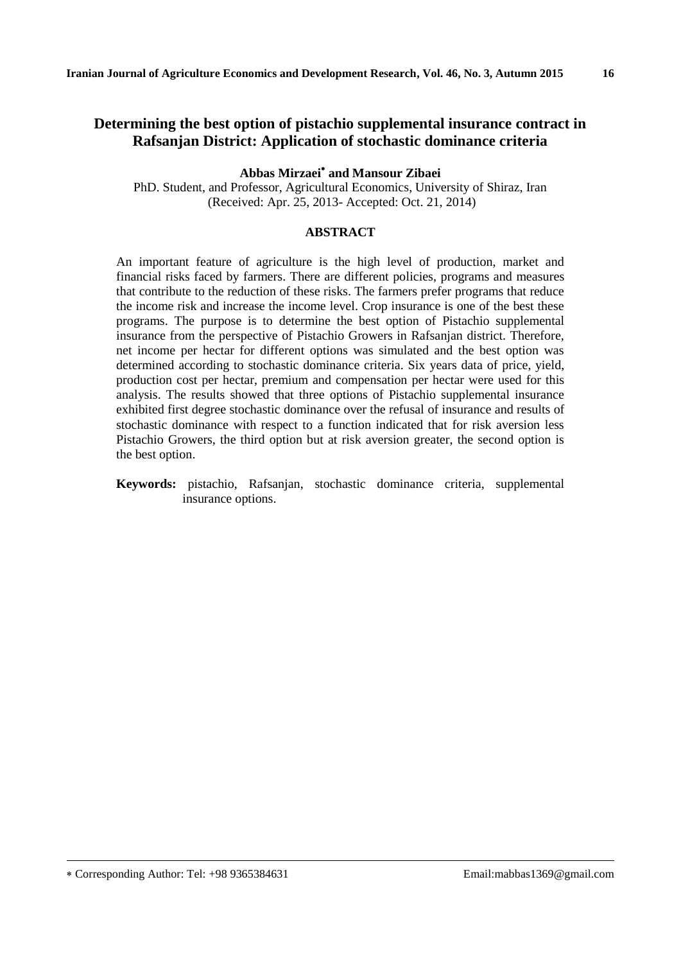# **Determining the best option of pistachio supplemental insurance contract in Rafsanjan District: Application of stochastic dominance criteria**

**Abbas Mirzaei and Mansour Zibaei**

PhD. Student, and Professor, Agricultural Economics, University of Shiraz, Iran (Received: Apr. 25, 2013- Accepted: Oct. 21, 2014)

#### **ABSTRACT**

An important feature of agriculture is the high level of production, market and financial risks faced by farmers. There are different policies, programs and measures that contribute to the reduction of these risks. The farmers prefer programs that reduce the income risk and increase the income level. Crop insurance is one of the best these programs. The purpose is to determine the best option of Pistachio supplemental insurance from the perspective of Pistachio Growers in Rafsanjan district. Therefore, net income per hectar for different options was simulated and the best option was determined according to stochastic dominance criteria. Six years data of price, yield, production cost per hectar, premium and compensation per hectar were used for this analysis. The results showed that three options of Pistachio supplemental insurance exhibited first degree stochastic dominance over the refusal of insurance and results of stochastic dominance with respect to a function indicated that for risk aversion less Pistachio Growers, the third option but at risk aversion greater, the second option is the best option.

**Keywords:** pistachio, Rafsanjan, stochastic dominance criteria, supplemental insurance options.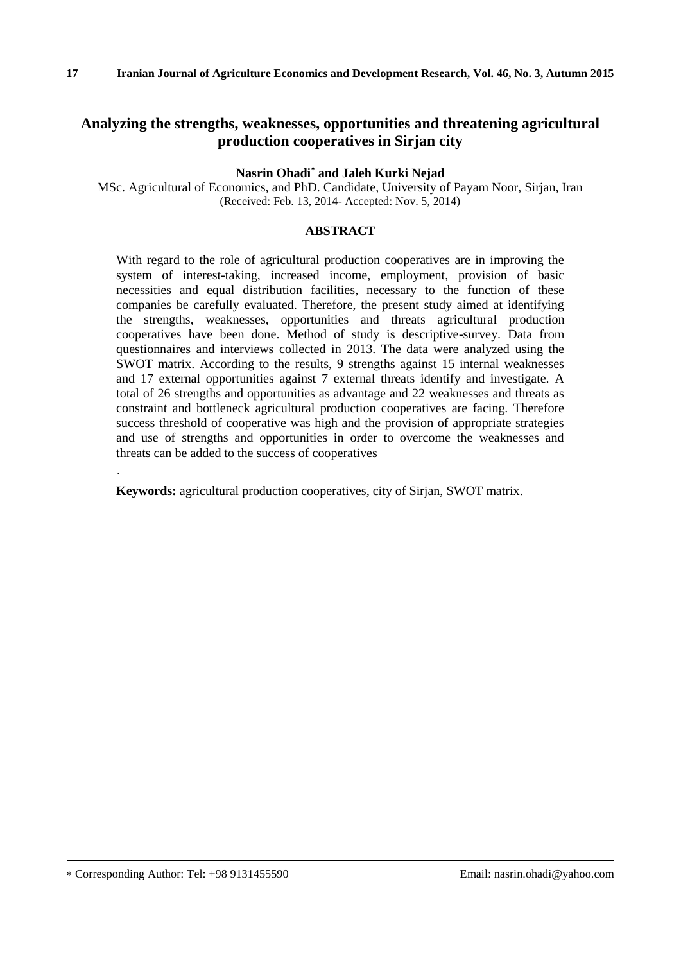# **Analyzing the strengths, weaknesses, opportunities and threatening agricultural production cooperatives in Sirjan city**

**Nasrin Ohadi and Jaleh Kurki Nejad**

MSc. Agricultural of Economics, and PhD. Candidate, University of Payam Noor, Sirjan, Iran (Received: Feb. 13, 2014- Accepted: Nov. 5, 2014)

#### **ABSTRACT**

With regard to the role of agricultural production cooperatives are in improving the system of interest-taking, increased income, employment, provision of basic necessities and equal distribution facilities, necessary to the function of these companies be carefully evaluated. Therefore, the present study aimed at identifying the strengths, weaknesses, opportunities and threats agricultural production cooperatives have been done. Method of study is descriptive-survey. Data from questionnaires and interviews collected in 2013. The data were analyzed using the SWOT matrix. According to the results, 9 strengths against 15 internal weaknesses and 17 external opportunities against 7 external threats identify and investigate. A total of 26 strengths and opportunities as advantage and 22 weaknesses and threats as constraint and bottleneck agricultural production cooperatives are facing. Therefore success threshold of cooperative was high and the provision of appropriate strategies and use of strengths and opportunities in order to overcome the weaknesses and threats can be added to the success of cooperatives

**Keywords:** agricultural production cooperatives, city of Sirjan, SWOT matrix.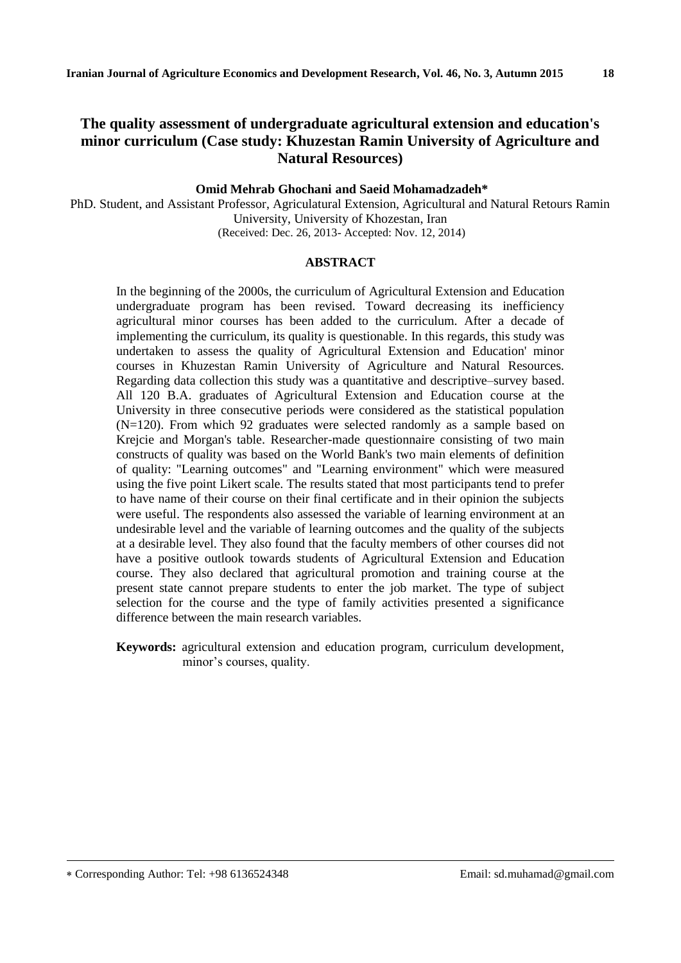## **The quality assessment of undergraduate agricultural extension and education's minor curriculum (Case study: Khuzestan Ramin University of Agriculture and Natural Resources)**

#### **Omid Mehrab Ghochani and Saeid Mohamadzadeh\***

PhD. Student, and Assistant Professor, Agriculatural Extension, Agricultural and Natural Retours Ramin University, University of Khozestan, Iran (Received: Dec. 26, 2013- Accepted: Nov. 12, 2014)

#### **ABSTRACT**

In the beginning of the 2000s, the curriculum of Agricultural Extension and Education undergraduate program has been revised. Toward decreasing its inefficiency agricultural minor courses has been added to the curriculum. After a decade of implementing the curriculum, its quality is questionable. In this regards, this study was undertaken to assess the quality of Agricultural Extension and Education' minor courses in Khuzestan Ramin University of Agriculture and Natural Resources. Regarding data collection this study was a quantitative and descriptive–survey based. All 120 B.A. graduates of Agricultural Extension and Education course at the University in three consecutive periods were considered as the statistical population (N=120). From which 92 graduates were selected randomly as a sample based on Krejcie and Morgan's table. Researcher-made questionnaire consisting of two main constructs of quality was based on the World Bank's two main elements of definition of quality: "Learning outcomes" and "Learning environment" which were measured using the five point Likert scale. The results stated that most participants tend to prefer to have name of their course on their final certificate and in their opinion the subjects were useful. The respondents also assessed the variable of learning environment at an undesirable level and the variable of learning outcomes and the quality of the subjects at a desirable level. They also found that the faculty members of other courses did not have a positive outlook towards students of Agricultural Extension and Education course. They also declared that agricultural promotion and training course at the present state cannot prepare students to enter the job market. The type of subject selection for the course and the type of family activities presented a significance difference between the main research variables.

**Keywords:** agricultural extension and education program, curriculum development, minor's courses, quality.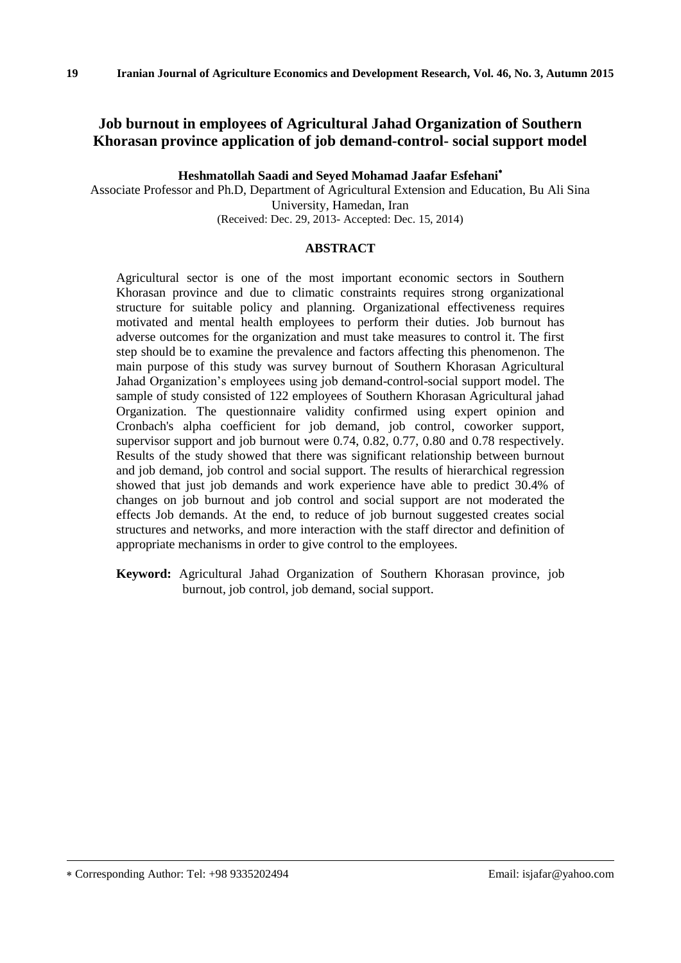# **Job burnout in employees of Agricultural Jahad Organization of Southern Khorasan province application of job demand-control- social support model**

**Heshmatollah Saadi and Seyed Mohamad Jaafar Esfehani**

Associate Professor and Ph.D, Department of Agricultural Extension and Education, Bu Ali Sina University, Hamedan, Iran (Received: Dec. 29, 2013- Accepted: Dec. 15, 2014)

### **ABSTRACT**

Agricultural sector is one of the most important economic sectors in Southern Khorasan province and due to climatic constraints requires strong organizational structure for suitable policy and planning. Organizational effectiveness requires motivated and mental health employees to perform their duties. Job burnout has adverse outcomes for the organization and must take measures to control it. The first step should be to examine the prevalence and factors affecting this phenomenon. The main purpose of this study was survey burnout of Southern Khorasan Agricultural Jahad Organization's employees using job demand-control-social support model. The sample of study consisted of 122 employees of Southern Khorasan Agricultural jahad Organization. The questionnaire validity confirmed using expert opinion and Cronbach's alpha coefficient for job demand, job control, coworker support, supervisor support and job burnout were 0.74, 0.82, 0.77, 0.80 and 0.78 respectively. Results of the study showed that there was significant relationship between burnout and job demand, job control and social support. The results of hierarchical regression showed that just job demands and work experience have able to predict 30.4% of changes on job burnout and job control and social support are not moderated the effects Job demands. At the end, to reduce of job burnout suggested creates social structures and networks, and more interaction with the staff director and definition of appropriate mechanisms in order to give control to the employees.

**Keyword:** Agricultural Jahad Organization of Southern Khorasan province, job burnout, job control, job demand, social support.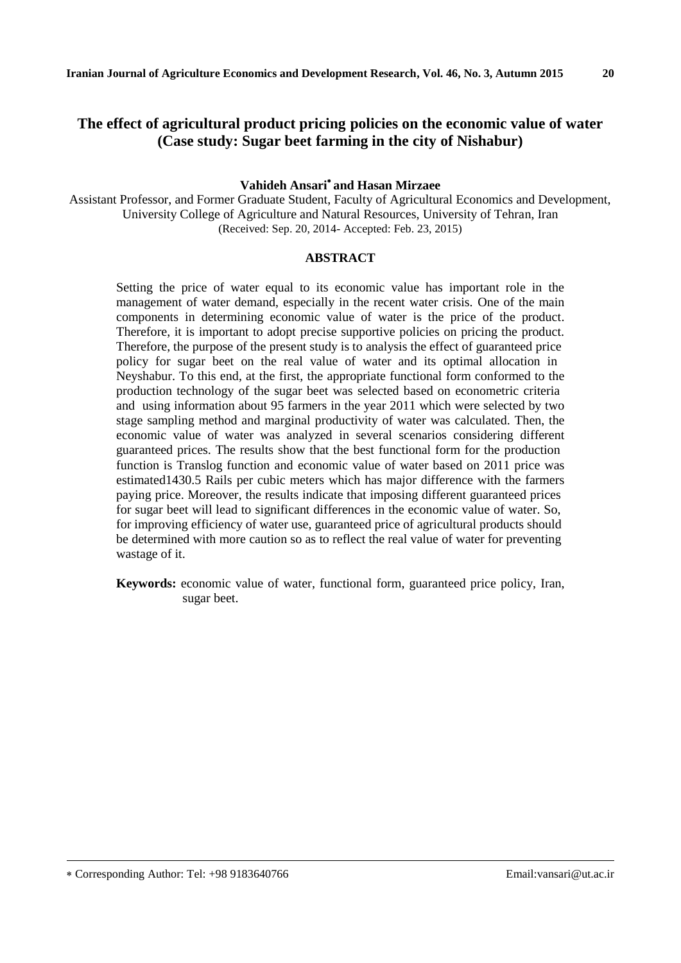# **The effect of agricultural product pricing policies on the economic value of water (Case study: Sugar beet farming in the city of Nishabur)**

### **Vahideh Ansari and Hasan Mirzaee**

Assistant Professor, and Former Graduate Student, Faculty of Agricultural Economics and Development, University College of Agriculture and Natural Resources, University of Tehran, Iran (Received: Sep. 20, 2014- Accepted: Feb. 23, 2015)

#### **ABSTRACT**

Setting the price of water equal to its economic value has important role in the management of water demand, especially in the recent water crisis. One of the main components in determining economic value of water is the price of the product. Therefore, it is important to adopt precise supportive policies on pricing the product. Therefore, the purpose of the present study is to analysis the effect of guaranteed price policy for sugar beet on the real value of water and its optimal allocation in Neyshabur. To this end, at the first, the appropriate functional form conformed to the production technology of the sugar beet was selected based on econometric criteria and using information about 95 farmers in the year 2011 which were selected by two stage sampling method and marginal productivity of water was calculated. Then, the economic value of water was analyzed in several scenarios considering different guaranteed prices. The results show that the best functional form for the production function is Translog function and economic value of water based on 2011 price was estimated1430.5 Rails per cubic meters which has major difference with the farmers paying price. Moreover, the results indicate that imposing different guaranteed prices for sugar beet will lead to significant differences in the economic value of water. So, for improving efficiency of water use, guaranteed price of agricultural products should be determined with more caution so as to reflect the real value of water for preventing wastage of it.

**Keywords:** economic value of water, functional form, guaranteed price policy, Iran, sugar beet.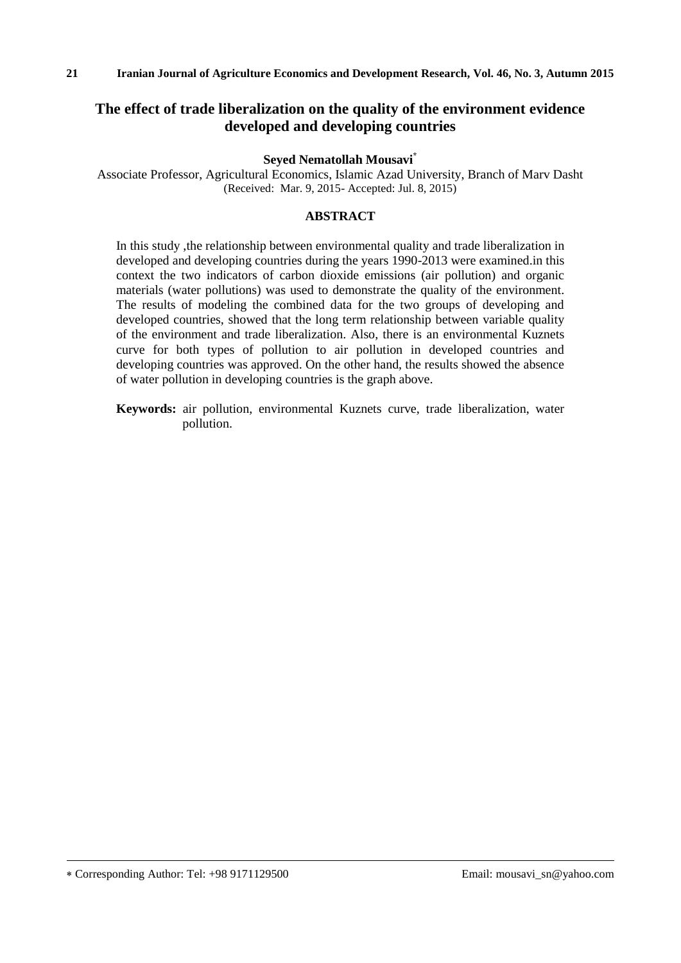# **The effect of trade liberalization on the quality of the environment evidence developed and developing countries**

#### **Seyed Nematollah Mousavi\***

Associate Professor, Agricultural Economics, Islamic Azad University, Branch of Marv Dasht (Received: Mar. 9, 2015- Accepted: Jul. 8, 2015)

#### **ABSTRACT**

In this study ,the relationship between environmental quality and trade liberalization in developed and developing countries during the years 1990-2013 were examined.in this context the two indicators of carbon dioxide emissions (air pollution) and organic materials (water pollutions) was used to demonstrate the quality of the environment. The results of modeling the combined data for the two groups of developing and developed countries, showed that the long term relationship between variable quality of the environment and trade liberalization. Also, there is an environmental Kuznets curve for both types of pollution to air pollution in developed countries and developing countries was approved. On the other hand, the results showed the absence of water pollution in developing countries is the graph above.

**Keywords:** air pollution, environmental Kuznets curve, trade liberalization, water pollution.